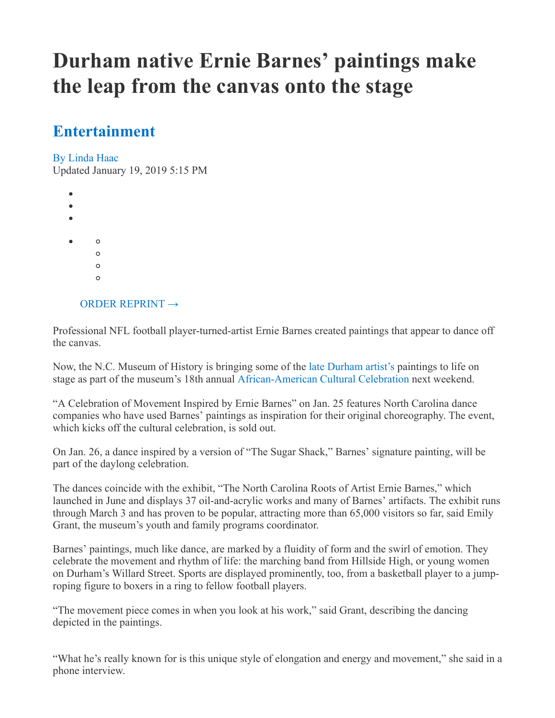## **Durham native Ernie Barnes' paintings make the leap from the canvas onto the stage**

## **[Entertainment](https://www.newsobserver.com/entertainment)**

[By Linda Haac](https://www.newsobserver.com/entertainment/mailto:Correspondent)

Updated January 19, 2019 5:15 PM

| ٠ |         |  |  |
|---|---------|--|--|
| ٠ |         |  |  |
|   |         |  |  |
|   | $\circ$ |  |  |
|   | $\circ$ |  |  |
|   | O       |  |  |
|   | O       |  |  |
|   |         |  |  |
|   |         |  |  |

## [ORDER REPRINT](https://www.mcclatchyreprints.com/)  $\rightarrow$

Professional NFL football player-turned-artist Ernie Barnes created paintings that appear to dance off the canvas.

Now, the N.C. Museum of History is bringing some of the [late Durham artist's p](https://www.newsobserver.com/living/article213003054.html)aintings to life on stage as part of the museum's 18th annual [African-American Cultural Celebration](https://www.ncmuseumofhistory.org/aacc-2019/schedule-of-events) next weekend.

"A Celebration of Movement Inspired by Ernie Barnes" on Jan. 25 features North Carolina dance companies who have used Barnes' paintings as inspiration for their original choreography. The event, which kicks off the cultural celebration, is sold out.

On Jan. 26, a dance inspired by a version of "The Sugar Shack," Barnes' signature painting, will be part of the daylong celebration.

The dances coincide with the exhibit, "The North Carolina Roots of Artist Ernie Barnes," which launched in June and displays 37 oil-and-acrylic works and many of Barnes' artifacts. The exhibit runs through March 3 and has proven to be popular, attracting more than 65,000 visitors so far, said Emily Grant, the museum's youth and family programs coordinator.

Barnes' paintings, much like dance, are marked by a fluidity of form and the swirl of emotion. They celebrate the movement and rhythm of life: the marching band from Hillside High, or young women on Durham's Willard Street. Sports are displayed prominently, too, from a basketball player to a jumproping figure to boxers in a ring to fellow football players.

"The movement piece comes in when you look at his work," said Grant, describing the dancing depicted in the paintings.

"What he's really known for is this unique style of elongation and energy and movement," she said in a phone interview.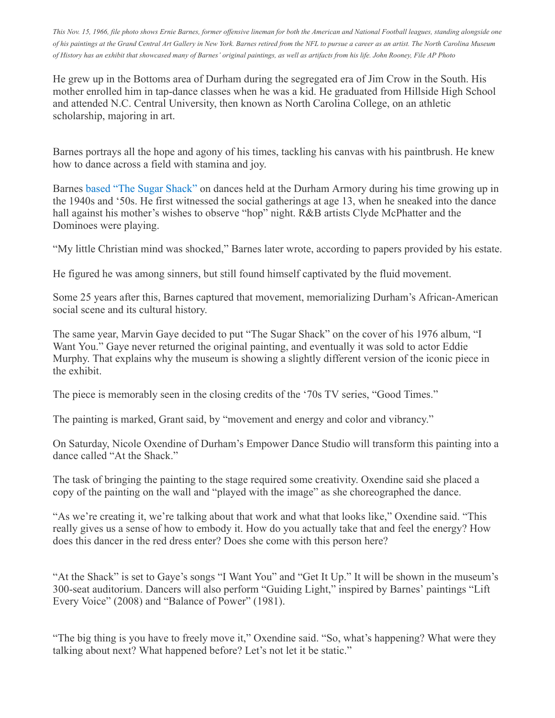This Nov. 15, 1966, file photo shows Ernie Barnes, former offensive lineman for both the American and National Football leagues, standing alongside one of his paintings at the Grand Central Art Gallery in New York. Barnes retired from the NFL to pursue a career as an artist. The North Carolina Museum of History has an exhibit that showcased many of Barnes' original paintings, as well as artifacts from his life. John Rooney, File AP Photo

He grew up in the Bottoms area of Durham during the segregated era of Jim Crow in the South. His mother enrolled him in tap-dance classes when he was a kid. He graduated from Hillside High School and attended N.C. Central University, then known as North Carolina College, on an athletic scholarship, majoring in art.

Barnes portrays all the hope and agony of his times, tackling his canvas with his paintbrush. He knew how to dance across a field with stamina and joy.

Barnes [based "The Sugar Shack"](https://www.newsobserver.com/living/article213003054.html) on dances held at the Durham Armory during his time growing up in the 1940s and '50s. He first witnessed the social gatherings at age 13, when he sneaked into the dance hall against his mother's wishes to observe "hop" night. R&B artists Clyde McPhatter and the Dominoes were playing.

"My little Christian mind was shocked," Barnes later wrote, according to papers provided by his estate.

He figured he was among sinners, but still found himself captivated by the fluid movement.

Some 25 years after this, Barnes captured that movement, memorializing Durham's African-American social scene and its cultural history.

The same year, Marvin Gaye decided to put "The Sugar Shack" on the cover of his 1976 album, "I Want You." Gaye never returned the original painting, and eventually it was sold to actor Eddie Murphy. That explains why the museum is showing a slightly different version of the iconic piece in the exhibit.

The piece is memorably seen in the closing credits of the '70s TV series, "Good Times."

The painting is marked, Grant said, by "movement and energy and color and vibrancy."

On Saturday, Nicole Oxendine of Durham's Empower Dance Studio will transform this painting into a dance called "At the Shack."

The task of bringing the painting to the stage required some creativity. Oxendine said she placed a copy of the painting on the wall and "played with the image" as she choreographed the dance.

"As we're creating it, we're talking about that work and what that looks like," Oxendine said. "This really gives us a sense of how to embody it. How do you actually take that and feel the energy? How does this dancer in the red dress enter? Does she come with this person here?

"At the Shack" is set to Gaye's songs "I Want You" and "Get It Up." It will be shown in the museum's 300-seat auditorium. Dancers will also perform "Guiding Light," inspired by Barnes' paintings "Lift Every Voice" (2008) and "Balance of Power" (1981).

"The big thing is you have to freely move it," Oxendine said. "So, what's happening? What were they talking about next? What happened before? Let's not let it be static."